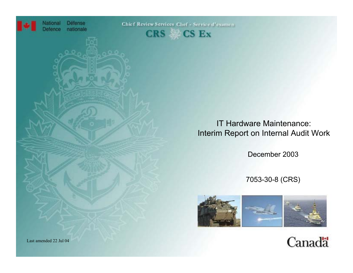

**Défense** nationale

Chief Review Services Chef - Service d'examen



IT Hardware Maintenance: Interim Report on Internal Audit Work

December 2003

7053-30-8 (CRS)



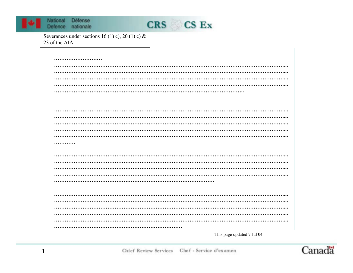



Severances under sections 16 (1) c), 20 (1) c) & 23 of the AIA

This page updated 7 Jul 04

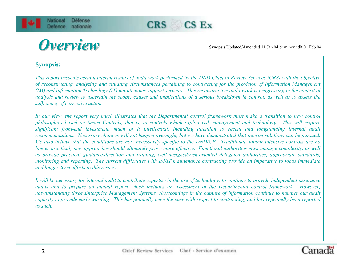

Synopsis Updated/Amended 11 Jan 04 & minor edit <sup>01</sup> Feb 04

#### **Synopsis:**

*This report presents certain interim results of audit work performed by the DND Chief of Review Services (CRS) with the objective of reconstructing, analyzing and situating circumstances pertaining to contracting for the provision of Information Management (IM) and Information Technology (IT) maintenance support services. This reconstructive audit work is progressing in the context of analysis and review to ascertain the scope, causes and implications of a serious breakdown in control, as well as to assess the sufficiency of corrective action.* 

*In our view, the report very much illustrates that the Departmental control framework must make a transition to new control philosophies based on Smart Controls, that is, to controls which exploit risk management and technology. This will require significant front-end investment, much of it intellectual, including attention to recent and longstanding internal audit recommendations. Necessary changes will not happen overnight, but we have demonstrated that interim solutions can be pursued. We also believe that the conditions are not necessarily specific to the DND/CF. Traditional, labour-intensive controls are no longer practical; new approaches should ultimately prove more effective. Functional authorities must manage complexity, as well as provide practical guidance/direction and training, well-designed/risk-oriented delegated authorities, appropriate standards, monitoring and reporting. The current difficulties with IM/IT maintenance contracting provide an imperative to focus immediate and longer-term efforts in this respect.* 

*It will be necessary for internal audit to contribute expertise in the use of technology, to continue to provide independent assurance audits and to prepare an annual report which includes an assessment of the Departmental control framework. However, notwithstanding three Enterprise Management Systems, shortcomings in the capture of information continue to hamper our audit capacity to provide early warning. This has pointedly been the case with respect to contracting, and has repeatedly been reported as such.*

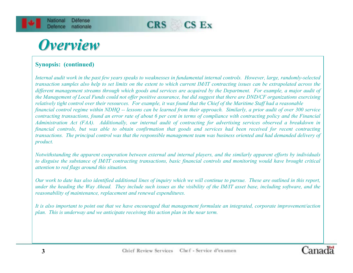



### **Synopsis: (continued)**

*Internal audit work in the past few years speaks to weaknesses in fundamental internal controls. However, large, randomly-selected transaction samples also help to set limits on the extent to which current IM/IT contracting issues can be extrapolated across the different management streams through which goods and services are acquired by the Department. For example, a major audit of the Management of Local Funds could not offer positive assurance, but did suggest that there are DND/CF organizations exercising relatively tight control over their resources. For example, it was found that the Chief of the Maritime Staff had a reasonable financial control regime within NDHQ -- lessons can be learned from their approach. Similarly, a prior audit of over 300 service contracting transactions, found an error rate of about 6 per cent in terms of compliance with contracting policy and the Financial Administration Act (FAA). Additionally, our internal audit of contracting for advertising services observed a breakdown in financial controls, but was able to obtain confirmation that goods and services had been received for recent contracting transactions. The principal control was that the responsible management team was business oriented and had demanded delivery of product.*

*Notwithstanding the apparent cooperation between external and internal players, and the similarly apparent efforts by individuals to disguise the substance of IM/IT contracting transactions, basic financial controls and monitoring would have brought critical attention to red flags around this situation.*

*Our work to date has also identified additional lines of inquiry which we will continue to pursue. These are outlined in this report, under the heading the Way Ahead. They include such issues as the visibility of the IM/IT asset base, including software, and the reasonability of maintenance, replacement and renewal expenditures.* 

*It is also important to point out that we have encouraged that management formulate an integrated, corporate improvement/action plan. This is underway and we anticipate receiving this action plan in the near term.*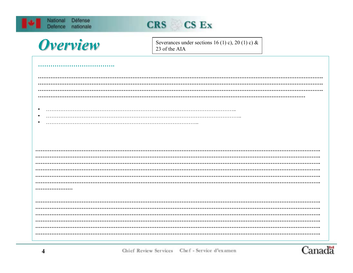| Défense<br>National<br>Defence<br>nationale | CRS CS Ex                                                            |
|---------------------------------------------|----------------------------------------------------------------------|
| Overview                                    | Severances under sections 16 (1) c), 20 (1) c) $\&$<br>23 of the AIA |
|                                             |                                                                      |
|                                             |                                                                      |
| $\bullet$                                   |                                                                      |
|                                             |                                                                      |
|                                             |                                                                      |
|                                             |                                                                      |
| .                                           |                                                                      |
|                                             |                                                                      |
|                                             |                                                                      |
|                                             |                                                                      |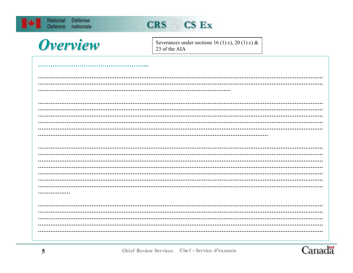| Défense<br>National<br>Defence<br>nationale | CRS CS Ex                                                            |
|---------------------------------------------|----------------------------------------------------------------------|
| Overview                                    | Severances under sections 16 (1) c), 20 (1) c) $\&$<br>23 of the AIA |
|                                             |                                                                      |
|                                             |                                                                      |
|                                             |                                                                      |
|                                             |                                                                      |
|                                             |                                                                      |
|                                             |                                                                      |
| .                                           |                                                                      |
|                                             |                                                                      |
|                                             |                                                                      |

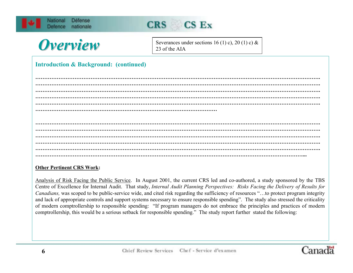



Severances under sections 16 (1) c), 20 (1) c) & 23 of the AIA

#### **Introduction & Background: (continued)**

**…………………………………………………………………………………………………………………………………………….…………………………………………………………………………………………………………………………………………….……………………………………………………………………………………………………………………………………...**

#### **Other Pertinent CRS Work:**

Analysis of Risk Facing the Public Service. In August 2001, the current CRS led and co-authored, a study sponsored by the TBS Centre of Excellence for Internal Audit. That study, *Internal Audit Planning Perspectives: Risks Facing the Delivery of Results for Canadians*, was scoped to be public-service wide, and cited risk regarding the sufficiency of resources "...to protect program integrity and lack of appropriate controls and support systems necessary to ensure responsible spending". The study also stressed the criticality of modern comptrollership to responsible spending: "If program managers do not embrace the principles and practices of modern comptrollership, this would be a serious setback for responsible spending." The study report further stated the following:

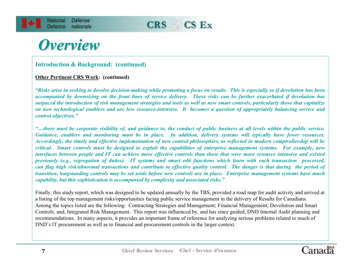

#### **Introduction & Background: (continued)**

#### **Other Pertinent CRS Work: (continued)**

*"Risks arise in seeking to devolve decision-making while promoting a focus on results. This is especially so if devolution has been accompanied by downsizing on the front lines of service delivery. These risks can be further exacerbated if devolution has outpaced the introduction of risk management strategies and tools as well as new smart controls, particularly those that capitalize on new technological enablers and are less resource-intensive. It becomes a question of appropriately balancing service and control objectives."*

*"…there must be corporate visibility of, and guidance to, the conduct of public business at all levels within the public service. Guidance, enablers and monitoring must be in place. In addition, delivery systems will typically have fewer resources. Accordingly, the timely and effective implementation of new control philosophies, as reflected in modern comptrollership will be critical. Smart controls must be designed to exploit the capabilities of enterprise management systems. For example, new interfaces between people and IT can achieve more effective controls than those that were more resource intensive and existed previously (e.g., segregation of duties). IT systems and smart edit functions which learn with each transaction processed, can flag high risk/abnormal transactions and contribute to effective quality control. The danger is that during the period of transition, longstanding controls may be set aside before new controls are in place. Enterprise management systems have much capability, but this sophistication is accompanied by complexity and associated risks."*

Finally, this study report, which was designed to be updated annually by the TBS, provided a road map for audit activity and arrived at a listing of the top management risks/opportunities facing public service management in the delivery of Results for Canadians. Among the topics listed are the following: Contracting Strategies and Management; Financial Management; Devolution and Smart Controls; and, Integrated Risk Management. This report was influenced by, and has since guided, DND Internal Audit planning and recommendations. In many aspects, it provides an important frame of reference for analyzing serious problems related to much of DND's IT procurement as well as to financial and procurement controls in the larger context.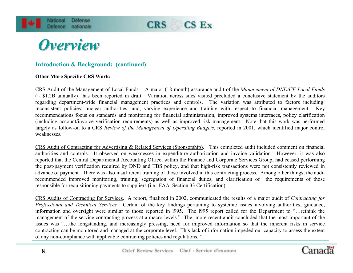

### **Introduction & Background: (continued)**

#### **Other More Specific CRS Work:**

CRS Audit of the Management of Local Funds. A major (18-month) assurance audit of the *Management of DND/CF Local Funds* (~ \$1.2B annually) has been reported in draft. Variation across sites visited precluded a conclusive statement by the auditors regarding department-wide financial management practices and controls. The variation was attributed to factors including: inconsistent policies; unclear authorities; and, varying experience and training with respect to financial management. Key recommendations focus on standards and monitoring for financial administration, improved systems interfaces, policy clarification (including account/invoice verification requirements) as well as improved risk management. Note that this work was performed largely as follow-on to a CRS *Review of the Management of Operating Budgets*, reported in 2001, which identified major control weaknesses*.*

CRS Audit of Contracting for Advertising & Related Services (Sponsorship). This completed audit included comment on financial authorities and controls. It observed on weaknesses in expenditure authorization and invoice validation. However, it was also reported that the Central Departmental Accounting Office, within the Finance and Corporate Services Group, had ceased performing the post-payment verification required by DND and TBS policy, and that high-risk transactions were not consistently reviewed in advance of payment. There was also insufficient training of those involved in this contracting process. Among other things, the audit recommended improved monitoring, training, segregation of financial duties, and clarification of the requirements of those responsible for requisitioning payments to suppliers (i.e., FAA Section 33 Certification).

CRS Audits of Contracting for Services. A report, finalized in 2002, communicated the results of a major audit of *Contracting for Professional and Technical Services.* Certain of the key findings pertaining to systemic issues involving authorities, guidance, information and oversight were similar to those reported in l995. The l995 report called for the Department to "…rethink the management of the service contracting process at a macro-levels." The more recent audit concluded that the most important of the issues was "…the longstanding, and increasingly pressing, need for improved information so that the inherent risks in service contracting can be monitored and managed at the corporate level. This lack of information impeded our capacity to assess the extent of any non-compliance with applicable contracting policies and regulations. "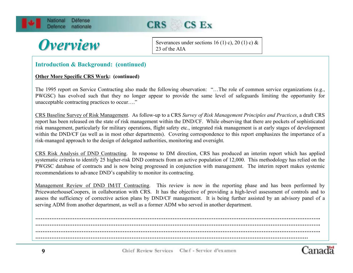





Severances under sections 16 (1) c), 20 (1) c) & 23 of the AIA

#### **Introduction & Background: (continued)**

#### **Other More Specific CRS Work: (continued)**

The 1995 report on Service Contracting also made the following observation: "…The role of common service organizations (e.g., PWGSC) has evolved such that they no longer appear to provide the same level of safeguards limiting the opportunity for unacceptable contracting practices to occur…."

CRS Baseline Survey of Risk Management. As follow-up to a CRS *Survey of Risk Management Principles and Practices*, a draft CRS report has been released on the state of risk management within the DND/CF. While observing that there are pockets of sophisticated risk management, particularly for military operations, flight safety etc., integrated risk management is at early stages of development within the DND/CF (as well as in most other departments). Covering correspondence to this report emphasizes the importance of a risk-managed approach to the design of delegated authorities, monitoring and oversight.

CRS Risk Analysis of DND Contracting. In response to DM direction, CRS has produced an interim report which has applied systematic criteria to identify 25 higher-risk DND contracts from an active population of 12,000. This methodology has relied on the PWGSC database of contracts and is now being progressed in conjunction with management. The interim report makes systemic recommendations to advance DND's capability to monitor its contracting.

Management Review of DND IM/IT Contracting. This review is now in the reporting phase and has been performed by PricewaterhouseCoopers, in collaboration with CRS. It has the objective of providing a high-level assessment of controls and to assess the sufficiency of corrective action plans by DND/CF management. It is being further assisted by an advisory panel of <sup>a</sup> serving ADM from another department, as well as a former ADM who served in another department.

**…………………………………………………………………………………………………………………………………………….…………………………………………………………………………………………………………………………………………….…………………………………………………………………………………………………………………………………………….………………………………………………………………………………………………………………………………………**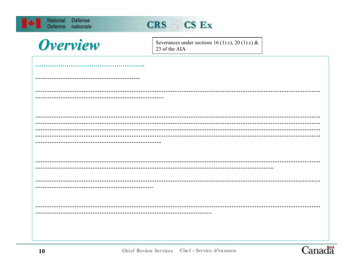| National<br>Défense<br>Defence<br>nationale | CRS CS Ex                                                         |
|---------------------------------------------|-------------------------------------------------------------------|
| Overview                                    | Severances under sections 16 (1) c), 20 (1) c) &<br>23 of the AIA |
|                                             |                                                                   |
|                                             |                                                                   |
|                                             |                                                                   |
|                                             |                                                                   |
|                                             |                                                                   |
|                                             |                                                                   |
|                                             |                                                                   |
|                                             |                                                                   |
|                                             |                                                                   |
|                                             |                                                                   |
|                                             |                                                                   |
|                                             |                                                                   |
|                                             |                                                                   |

Canadä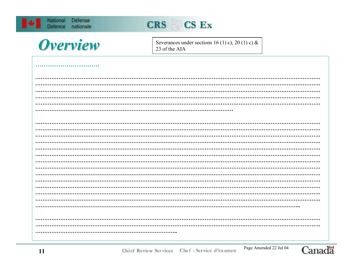| National | Défense<br>Defence nationale | CRS CS Ex                                                         |  |
|----------|------------------------------|-------------------------------------------------------------------|--|
|          | Overview                     | Severances under sections 16 (1) c), 20 (1) c) &<br>23 of the AIA |  |
|          |                              |                                                                   |  |
|          |                              |                                                                   |  |
|          |                              |                                                                   |  |
|          |                              |                                                                   |  |
|          |                              |                                                                   |  |
|          |                              |                                                                   |  |
|          |                              |                                                                   |  |
|          |                              |                                                                   |  |
|          |                              |                                                                   |  |
|          |                              |                                                                   |  |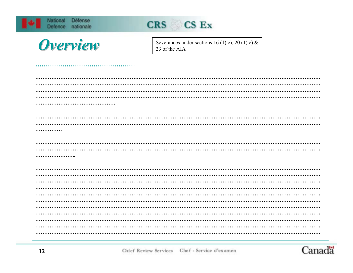| Défense<br>National<br>nationale<br>Defence | CRS CS Ex                                                         |
|---------------------------------------------|-------------------------------------------------------------------|
| Overview                                    | Severances under sections 16 (1) c), 20 (1) c) &<br>23 of the AIA |
|                                             |                                                                   |
|                                             |                                                                   |
| .                                           |                                                                   |
|                                             |                                                                   |
|                                             |                                                                   |
|                                             |                                                                   |
|                                             |                                                                   |

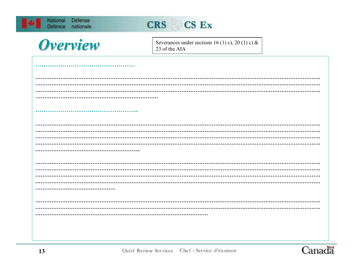| National<br>Défense<br>Defence<br>nationale | CRS CS Ex                                                         |
|---------------------------------------------|-------------------------------------------------------------------|
| Overview                                    | Severances under sections 16 (1) c), 20 (1) c) &<br>23 of the AIA |
|                                             |                                                                   |
|                                             |                                                                   |
|                                             |                                                                   |
|                                             |                                                                   |
|                                             |                                                                   |
|                                             |                                                                   |
|                                             |                                                                   |
|                                             |                                                                   |
|                                             |                                                                   |
|                                             |                                                                   |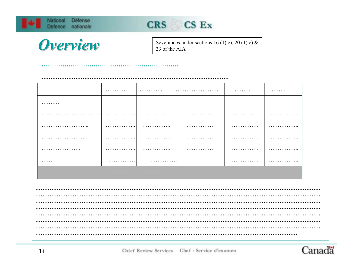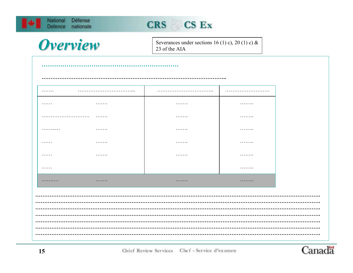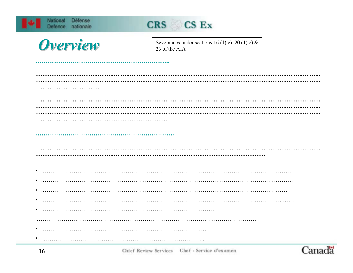| Défense<br>National<br>nationale<br><b>Defence</b> | CRS CS Ex                                                         |
|----------------------------------------------------|-------------------------------------------------------------------|
| <b>Overview</b>                                    | Severances under sections 16 (1) c), 20 (1) c) &<br>23 of the AIA |
|                                                    |                                                                   |
|                                                    |                                                                   |
|                                                    |                                                                   |
|                                                    |                                                                   |
|                                                    |                                                                   |
|                                                    |                                                                   |
|                                                    |                                                                   |
|                                                    |                                                                   |
|                                                    |                                                                   |
|                                                    |                                                                   |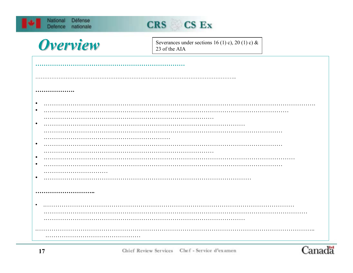| Défense<br>National<br>nationale<br><b>Defence</b> | CRS CS Ex                                                         |
|----------------------------------------------------|-------------------------------------------------------------------|
| Overview                                           | Severances under sections 16 (1) c), 20 (1) c) &<br>23 of the AIA |
|                                                    |                                                                   |
|                                                    |                                                                   |
|                                                    |                                                                   |
|                                                    |                                                                   |
|                                                    |                                                                   |
| $\bullet$                                          |                                                                   |
|                                                    |                                                                   |
|                                                    |                                                                   |
| $\bullet$                                          |                                                                   |
|                                                    |                                                                   |
| $\bullet$                                          |                                                                   |
| $\bullet$                                          |                                                                   |
|                                                    |                                                                   |
| $\bullet$                                          |                                                                   |
|                                                    |                                                                   |
|                                                    |                                                                   |
|                                                    |                                                                   |
|                                                    |                                                                   |
|                                                    |                                                                   |
|                                                    |                                                                   |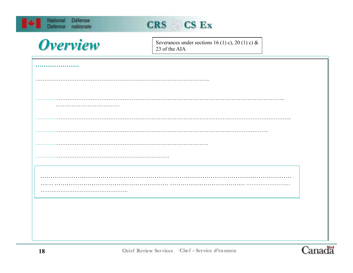| National       | <b>Defense</b> |
|----------------|----------------|
| <b>Delence</b> | nationale      |



| <b>Overview</b> |
|-----------------|
|                 |

Severances under sections 16 (1) c), 20 (1) c) & 23 of the AIA

| .                           |
|-----------------------------|
|                             |
|                             |
|                             |
| $\sim$ $\sim$ $\sim$ $\sim$ |
|                             |
| .                           |
|                             |
|                             |
|                             |
|                             |
|                             |

Canadä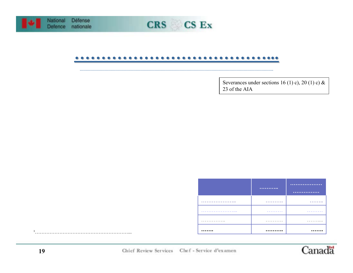



#### . . . . . . . . . . . . . . . . . . .  $\bullet\bullet\bullet\bullet$  $\bullet$  $\bullet$  $\bullet$  $\bullet$

Severances under sections 16 (1) c), 20 (1) c) & 23 of the AIA

|   | <br>$.$ |
|---|---------|
| . | .       |
| . | .       |
| . | .       |
|   |         |
|   |         |



 $1$  .  $\dots$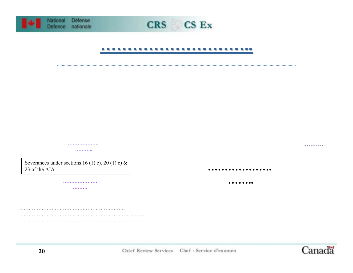



#### ............................

| Severances under sections 16 (1) c), 20 (1) c) & |   |  |
|--------------------------------------------------|---|--|
| 23 of the AIA                                    | . |  |
|                                                  | . |  |
|                                                  |   |  |
|                                                  |   |  |
|                                                  |   |  |
|                                                  |   |  |
|                                                  |   |  |
|                                                  |   |  |
|                                                  |   |  |
|                                                  |   |  |

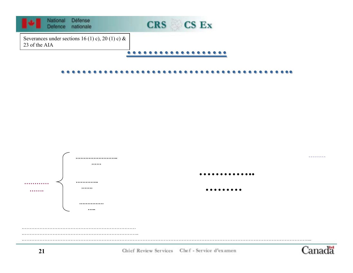



Chief Review Services Chef - Service d'examen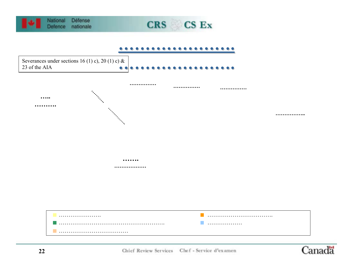

Canadä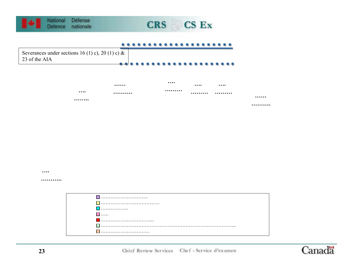

### CRS CS Ex

#### $\bullet$



|   |      | <br> |   |
|---|------|------|---|
| . | <br> | <br> |   |
|   |      |      | . |
|   |      |      | . |

 $\cdots$ 

. . . . . . . . . . .

| . |  |
|---|--|
| . |  |
|   |  |
|   |  |
|   |  |

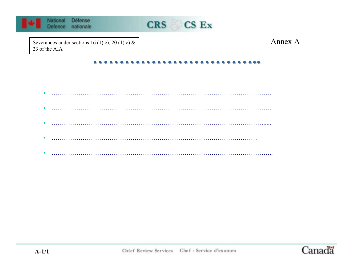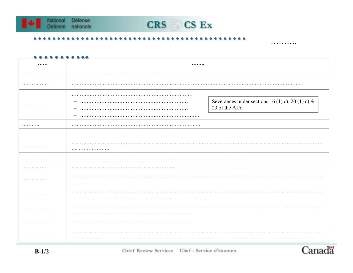



#### ...........

| . <b>.</b> |                               |                                                                   |  |
|------------|-------------------------------|-------------------------------------------------------------------|--|
| .          | .<br>$\overline{\phantom{m}}$ | Severances under sections 16 (1) c), 20 (1) c) &<br>23 of the AIA |  |
| .          |                               |                                                                   |  |
| .          |                               |                                                                   |  |
| .          |                               |                                                                   |  |
| .          | .                             |                                                                   |  |
| .          |                               |                                                                   |  |
| .          | .                             |                                                                   |  |
| .          |                               |                                                                   |  |
| .          |                               |                                                                   |  |
| .          |                               |                                                                   |  |
| .          | $\cdots$                      |                                                                   |  |

. . . . . . . . . .

Canadä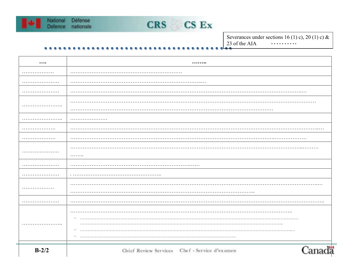



Severances under sections 16 (1) c), 20 (1) c) & 23 of the AIA . . . . . . . . . .

 $\bullet$ 

| $\cdots$ |                                               |
|----------|-----------------------------------------------|
| .        |                                               |
|          |                                               |
|          |                                               |
|          |                                               |
|          |                                               |
|          |                                               |
|          |                                               |
|          |                                               |
|          |                                               |
|          | .                                             |
|          |                                               |
|          |                                               |
| .        |                                               |
|          |                                               |
|          |                                               |
|          |                                               |
| .        |                                               |
|          |                                               |
|          |                                               |
| $B-2/2$  | Chief Review Services Chef - Service d'examen |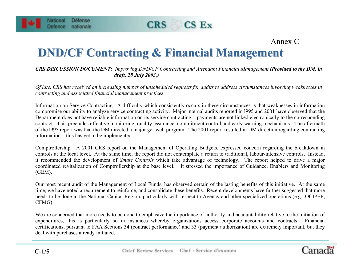



Cana

## **DND/CF Contracting & Financial Management DND/CF Contracting & Financial Management**

#### *CRS DISCUSSION DOCUMENT: Improving DND/CF Contracting and Attendant Financial Management (Provided to the DM, in draft, 28 July 2003.)*

*Of late, CRS has received an increasing number of unscheduled requests for audits to address circumstances involving weaknesses in contracting and associated financial management practices.*

Information on Service Contracting. A difficulty which consistently occurs in these circumstances is that weaknesses in information compromise our ability to analyze service contracting activity. Major internal audits reported in l995 and 2001 have observed that the Department does not have reliable information on its service contracting – payments are not linked electronically to the corresponding contract. This precludes effective monitoring, quality assurance, commitment control and early warning mechanisms. The aftermath of the l995 report was that the DM directed a major get-well program. The 2001 report resulted in DM direction regarding contracting information – this has yet to be implemented.

Comptrollership. A 2001 CRS report on the Management of Operating Budgets, expressed concern regarding the breakdown in controls at the local level. At the same time, the report did not contemplate a return to traditional, labour-intensive controls. Instead, it recommended the development of *Smart Controls* which take advantage of technology. The report helped to drive <sup>a</sup> major coordinated revitalization of Comptrollership at the base level. It stressed the importance of Guidance, Enablers and Monitoring (GEM).

Our most recent audit of the Management of Local Funds, has observed certain of the lasting benefits of this initiative. At the same time, we have noted a requirement to reinforce, and consolidate these benefits. Recent developments have further suggested that more needs to be done in the National Capital Region, particularly with respect to Agency and other specialized operations (e.g., OCIPEP, CFMG).

We are concerned that more needs to be done to emphasize the importance of authority and accountability relative to the initiation of expenditures, this is particularly so in instances whereby organizations access corporate accounts and contracts. Financial certifications, pursuant to FAA Sections 34 (contract performance) and 33 (payment authorization) are extremely important, but they deal with purchases already initiated.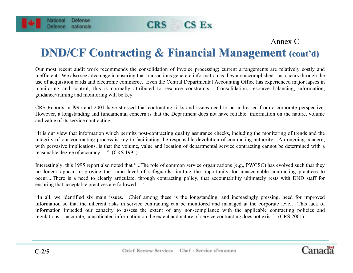



Cana

### **DND/CF Contracting & Financial Management (cont'd)**

Our most recent audit work recommends the consolidation of invoice processing; current arrangements are relatively costly and inefficient. We also see advantage in ensuring that transactions generate information as they are accomplished – as occurs through the use of acquisition cards and electronic commerce. Even the Central Departmental Accounting Office has experienced major lapses in monitoring and control, this is normally attributed to resource constraints. Consolidation, resource balancing, information, guidance/training and monitoring will be key.

CRS Reports in l995 and 2001 have stressed that contracting risks and issues need to be addressed from a corporate perspective. However, a longstanding and fundamental concern is that the Department does not have reliable information on the nature, volume and value of its service contracting.

"It is our view that information which permits post-contracting quality assurance checks, including the monitoring of trends and the integrity of our contracting process is key to facilitating the responsible devolution of contracting authority....An ongoing concern, with pervasive implications, is that the volume, value and location of departmental service contracting cannot be determined with a reasonable degree of accuracy....." (CRS 1995)

Interestingly, this 1995 report also noted that "...The role of common service organizations (e.g., PWGSC) has evolved such that they no longer appear to provide the same level of safeguards limiting the opportunity for unacceptable contracting practices to occur....There is a need to clearly articulate, through contracting policy, that accountability ultimately rests with DND staff for ensuring that acceptable practices are followed...."

"In all, we identified six main issues. Chief among these is the longstanding, and increasingly pressing, need for improved information so that the inherent risks in service contracting can be monitored and managed at the corporate level. This lack of information impeded our capacity to assess the extent of any non-compliance with the applicable contracting policies and regulations.....accurate, consolidated information on the extent and nature of service contracting does not exist." (CRS 2001)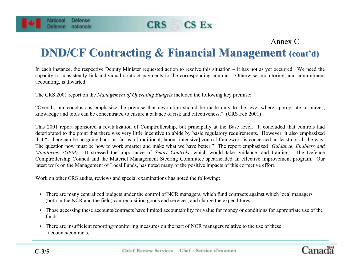



Canada

## **DND/CF Contracting & Financial Management (cont'd)**

In each instance, the respective Deputy Minister requested action to resolve this situation – it has not as yet occurred. We need the capacity to consistently link individual contract payments to the corresponding contract. Otherwise, monitoring, and commitment accounting, is thwarted.

The CRS 2001 report on the *Management of Operating Budgets* included the following key premise:

"Overall, our conclusions emphasize the premise that devolution should be made only to the level where appropriate resources, knowledge and tools can be concentrated to ensure a balance of risk and effectiveness." (CRS Feb 2001)

This 2001 report sponsored a revitalization of Comptrollership, but principally at the Base level. It concluded that controls had deteriorated to the point that there was very little incentive to abide by basic regulatory requirements. However, it also emphasized that "...there can be no going back, as far as a [traditional, labour-intensive] control framework is concerned, at least not all the way. The question now must be how to work smarter and make what we have better." The report emphasized *Guidance, Enablers and Monitoring (GEM).* It stressed the importance of *Smart Controls*, which would take guidance, and training. The Defence Comptrollership Council and the Materiel Management Steering Committee spearheaded an effective improvement program. Our latest work on the Management of Local Funds, has noted many of the positive impacts of this corrective effort.

Work on other CRS audits, reviews and special examinations has noted the following:

- There are many centralized budgets under the control of NCR managers, which fund contracts against which local managers (both in the NCR and the field) can requisition goods and services, and charge the expenditures.
- Those accessing these accounts/contracts have limited accountability for value for money or conditions for appropriate use of the funds.
- There are insufficient reporting/monitoring measures on the part of NCR managers relative to the use of these accounts/contracts.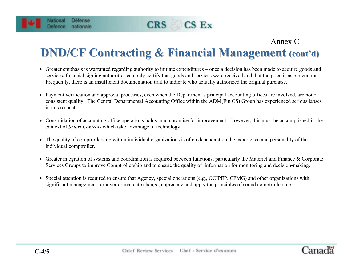#### **CRS**  $CS$   $Ex$

### Annex C

## **DND/CF Contracting & Financial Management (cont'd)**

- Greater emphasis is warranted regarding authority to initiate expenditures once a decision has been made to acquire goods and services, financial signing authorities can only certify that goods and services were received and that the price is as per contract. Frequently, there is an insufficient documentation trail to indicate who actually authorized the original purchase.
- Payment verification and approval processes, even when the Department's principal accounting offices are involved, are not of consistent quality. The Central Departmental Accounting Office within the ADM(Fin CS) Group has experienced serious lapses in this respect.
- Consolidation of accounting office operations holds much promise for improvement. However, this must be accomplished in the context of *Smart Controls* which take advantage of technology.
- The quality of comptrollership within individual organizations is often dependant on the experience and personality of the individual comptroller.
- Greater integration of systems and coordination is required between functions, particularly the Materiel and Finance & Corporate Services Groups to improve Comptrollership and to ensure the quality of information for monitoring and decision-making.
- Special attention is required to ensure that Agency, special operations (e.g., OCIPEP, CFMG) and other organizations with significant management turnover or mandate change, appreciate and apply the principles of sound comptrollership.

Défense

nationale

National

Defence